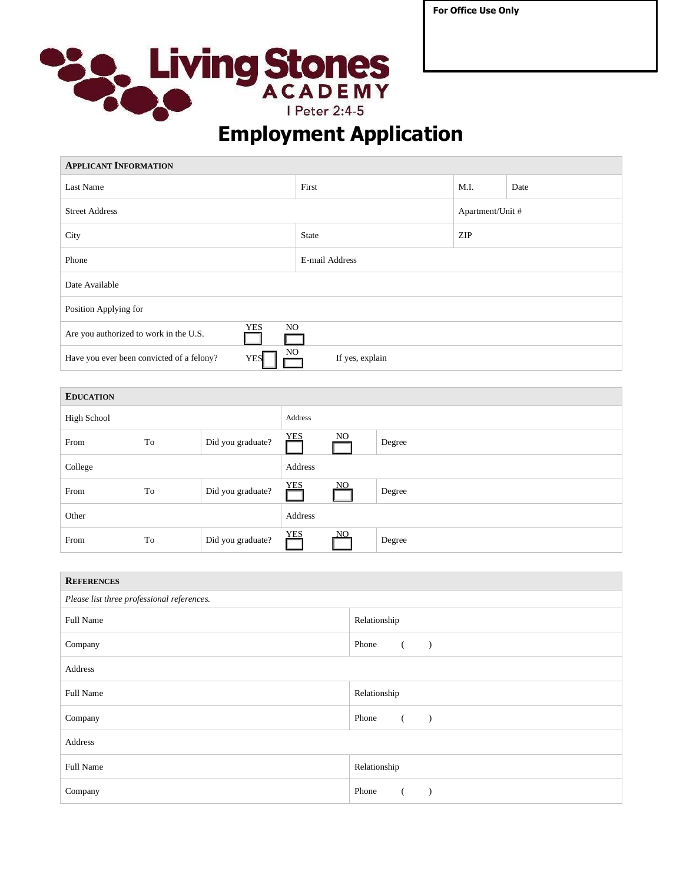**For Office Use Only**



## **Employment Application**

| <b>APPLICANT INFORMATION</b>                                   |                 |                  |      |  |  |  |
|----------------------------------------------------------------|-----------------|------------------|------|--|--|--|
| Last Name                                                      | First           | M.I.             | Date |  |  |  |
| <b>Street Address</b>                                          |                 | Apartment/Unit # |      |  |  |  |
| City                                                           | <b>State</b>    | <b>ZIP</b>       |      |  |  |  |
| Phone                                                          | E-mail Address  |                  |      |  |  |  |
| Date Available                                                 |                 |                  |      |  |  |  |
| Position Applying for                                          |                 |                  |      |  |  |  |
| NO.<br><b>YES</b><br>Are you authorized to work in the U.S.    |                 |                  |      |  |  |  |
| NO.<br>Have you ever been convicted of a felony?<br><b>YES</b> | If yes, explain |                  |      |  |  |  |

| <b>EDUCATION</b> |    |                   |            |     |        |
|------------------|----|-------------------|------------|-----|--------|
| High School      |    |                   | Address    |     |        |
| From             | To | Did you graduate? | <b>YES</b> | NO. | Degree |
| College          |    |                   | Address    |     |        |
| From             | To | Did you graduate? | <b>YES</b> | NO. | Degree |
| Other            |    |                   | Address    |     |        |
| From             | To | Did you graduate? | <b>YES</b> | NO. | Degree |

| <b>REFERENCES</b>                          |                   |  |  |  |
|--------------------------------------------|-------------------|--|--|--|
| Please list three professional references. |                   |  |  |  |
| Full Name                                  | Relationship      |  |  |  |
| Company                                    | Phone<br>$\left($ |  |  |  |
| Address                                    |                   |  |  |  |
| Full Name                                  | Relationship      |  |  |  |
| Company                                    | Phone<br>- (      |  |  |  |
| Address                                    |                   |  |  |  |
| Full Name                                  | Relationship      |  |  |  |
| Company                                    | Phone             |  |  |  |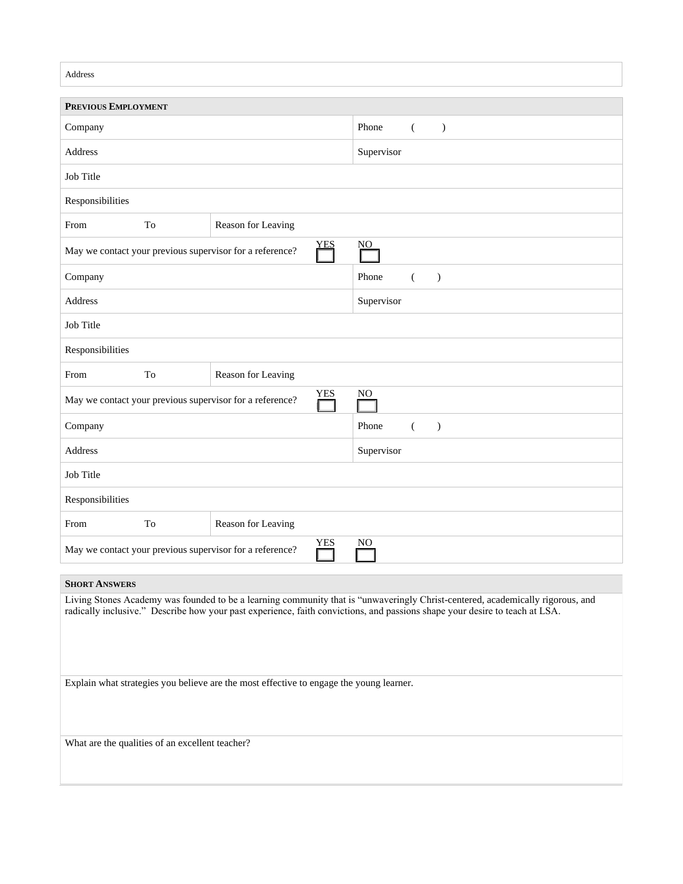| Address                                                                                                                                                                                                                                                       |                                                                                            |                    |                                    |  |  |
|---------------------------------------------------------------------------------------------------------------------------------------------------------------------------------------------------------------------------------------------------------------|--------------------------------------------------------------------------------------------|--------------------|------------------------------------|--|--|
| <b>PREVIOUS EMPLOYMENT</b>                                                                                                                                                                                                                                    |                                                                                            |                    |                                    |  |  |
| Company                                                                                                                                                                                                                                                       |                                                                                            |                    | Phone<br>€<br>$\lambda$            |  |  |
| Address                                                                                                                                                                                                                                                       |                                                                                            |                    | Supervisor                         |  |  |
| Job Title                                                                                                                                                                                                                                                     |                                                                                            |                    |                                    |  |  |
| Responsibilities                                                                                                                                                                                                                                              |                                                                                            |                    |                                    |  |  |
| From                                                                                                                                                                                                                                                          | To                                                                                         | Reason for Leaving |                                    |  |  |
|                                                                                                                                                                                                                                                               | <b>YES</b><br>$\underline{NO}$<br>May we contact your previous supervisor for a reference? |                    |                                    |  |  |
| Company                                                                                                                                                                                                                                                       |                                                                                            |                    | Phone<br>$\left($<br>$\mathcal{E}$ |  |  |
| Address                                                                                                                                                                                                                                                       |                                                                                            |                    | Supervisor                         |  |  |
| Job Title                                                                                                                                                                                                                                                     |                                                                                            |                    |                                    |  |  |
| Responsibilities                                                                                                                                                                                                                                              |                                                                                            |                    |                                    |  |  |
| From                                                                                                                                                                                                                                                          | To                                                                                         | Reason for Leaving |                                    |  |  |
| <b>YES</b><br>N <sub>O</sub><br>May we contact your previous supervisor for a reference?                                                                                                                                                                      |                                                                                            |                    |                                    |  |  |
| Company                                                                                                                                                                                                                                                       |                                                                                            |                    | Phone<br>$\mathcal{L}$<br>€        |  |  |
| Address                                                                                                                                                                                                                                                       |                                                                                            |                    | Supervisor                         |  |  |
| Job Title                                                                                                                                                                                                                                                     |                                                                                            |                    |                                    |  |  |
| Responsibilities                                                                                                                                                                                                                                              |                                                                                            |                    |                                    |  |  |
| From                                                                                                                                                                                                                                                          | To                                                                                         | Reason for Leaving |                                    |  |  |
| <b>YES</b><br>N <sub>O</sub><br>May we contact your previous supervisor for a reference?                                                                                                                                                                      |                                                                                            |                    |                                    |  |  |
| <b>SHORT ANSWERS</b>                                                                                                                                                                                                                                          |                                                                                            |                    |                                    |  |  |
| Living Stones Academy was founded to be a learning community that is "unwaveringly Christ-centered, academically rigorous, and<br>radically inclusive." Describe how your past experience, faith convictions, and passions shape your desire to teach at LSA. |                                                                                            |                    |                                    |  |  |
| Explain what strategies you believe are the most effective to engage the young learner.                                                                                                                                                                       |                                                                                            |                    |                                    |  |  |
| What are the qualities of an excellent teacher?                                                                                                                                                                                                               |                                                                                            |                    |                                    |  |  |